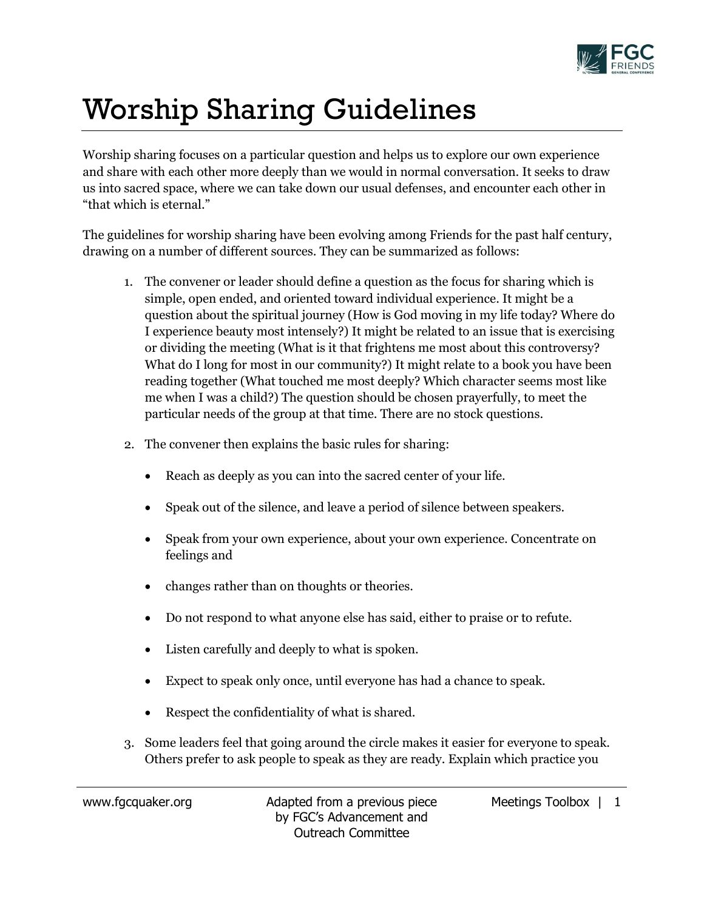

## Worship Sharing Guidelines

Worship sharing focuses on a particular question and helps us to explore our own experience and share with each other more deeply than we would in normal conversation. It seeks to draw us into sacred space, where we can take down our usual defenses, and encounter each other in "that which is eternal."

The guidelines for worship sharing have been evolving among Friends for the past half century, drawing on a number of different sources. They can be summarized as follows:

- 1. The convener or leader should define a question as the focus for sharing which is simple, open ended, and oriented toward individual experience. It might be a question about the spiritual journey (How is God moving in my life today? Where do I experience beauty most intensely?) It might be related to an issue that is exercising or dividing the meeting (What is it that frightens me most about this controversy? What do I long for most in our community?) It might relate to a book you have been reading together (What touched me most deeply? Which character seems most like me when I was a child?) The question should be chosen prayerfully, to meet the particular needs of the group at that time. There are no stock questions.
- 2. The convener then explains the basic rules for sharing:
	- Reach as deeply as you can into the sacred center of your life.
	- Speak out of the silence, and leave a period of silence between speakers.
	- Speak from your own experience, about your own experience. Concentrate on feelings and
	- changes rather than on thoughts or theories.
	- Do not respond to what anyone else has said, either to praise or to refute.
	- Listen carefully and deeply to what is spoken.
	- Expect to speak only once, until everyone has had a chance to speak.
	- Respect the confidentiality of what is shared.
- 3. Some leaders feel that going around the circle makes it easier for everyone to speak. Others prefer to ask people to speak as they are ready. Explain which practice you